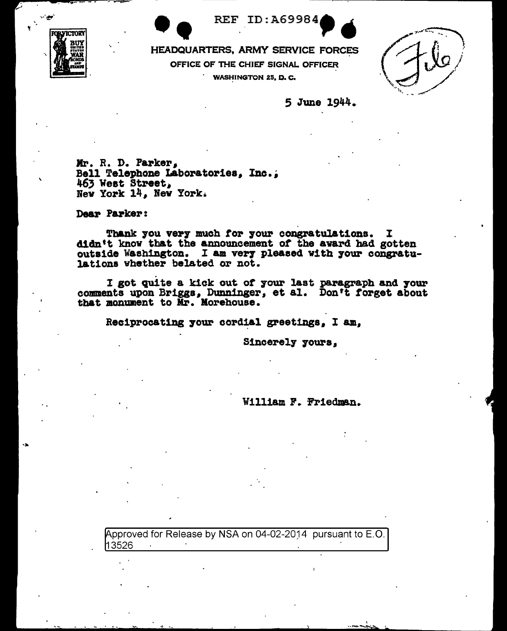**MANICTOR** 



HEADQUARTERS, ARMY SERVICE FORCES OFFICE OF THE CHIEF SIGNAL OFFICER **WASHINGTON 25, D. C.** 

5 June 1944.

Mr. R. D. Parker,<br>Bell Telephone Laboratories, Inc., 463 West Street, New York 14, New York.

Dear Parker:

Thank you very much for your congratulations. I didn't know that the announcement of the award had gotten outside Washington. I am very pleased with your congratulations whether belated or not.

I got quite a kick out of your last paragraph and your comments upon Briggs, Dunninger, et al. Don't forget about that monument to Mr. Morehouse.

Reciprocating your cordial greetings, I am.

Sincerely yours,

William F. Friedman.

Approved for Release by NSA on 04-02-2014 pursuant to E.O. 13526